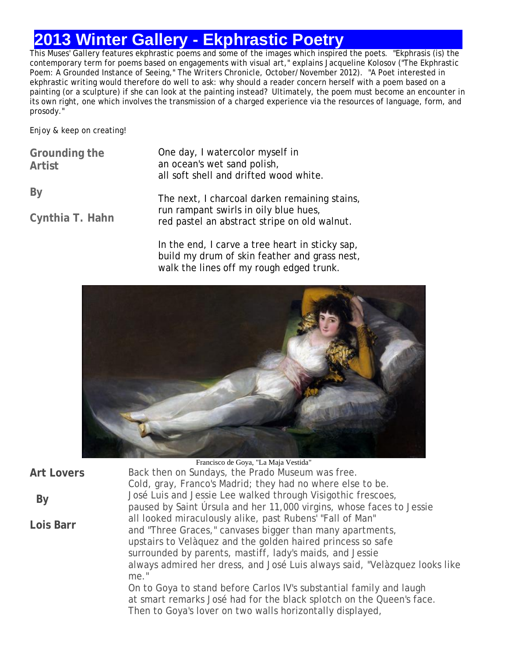# **2013 Winter Gallery - Ekphrastic Poetry**

This Muses' Gallery features ekphrastic poems and some of the images which inspired the poets. "Ekphrasis (is) the contemporary term for poems based on engagements with visual art," explains Jacqueline Kolosov ("The Ekphrastic Poem: A Grounded Instance of Seeing," *The Writers Chronicle*, October/November 2012). "A Poet interested in ekphrastic writing would therefore do well to ask: why should a reader concern herself with a poem based on a painting (or a sculpture) if she can look at the painting instead? Ultimately, the poem must become an encounter in its own right, one which involves the transmission of a charged experience via the resources of language, form, and prosody."

Enjoy & keep on creating!

| Grounding the<br>Artist | One day, I watercolor myself in<br>an ocean's wet sand polish,<br>all soft shell and drifted wood white. |  |
|-------------------------|----------------------------------------------------------------------------------------------------------|--|
| By                      | The next, I charcoal darken remaining stains,                                                            |  |
| Cynthia T. Hahn         | run rampant swirls in oily blue hues,<br>red pastel an abstract stripe on old walnut.                    |  |
|                         | In the end. I carve a tree heart in sticky sap.                                                          |  |

In the end, I carve a tree heart in sticky sap, build my drum of skin feather and grass nest, walk the lines off my rough edged trunk.



|                   | Francisco de Goya, "La Maja Vestida"                                                                                                                                                                     |
|-------------------|----------------------------------------------------------------------------------------------------------------------------------------------------------------------------------------------------------|
| <b>Art Lovers</b> | Back then on Sundays, the Prado Museum was free.                                                                                                                                                         |
|                   | Cold, gray, Franco's Madrid; they had no where else to be.                                                                                                                                               |
| By                | José Luis and Jessie Lee walked through Visigothic frescoes,                                                                                                                                             |
|                   | paused by Saint Úrsula and her 11,000 virgins, whose faces to Jessie                                                                                                                                     |
| Lois Barr         | all looked miraculously alike, past Rubens' "Fall of Man"                                                                                                                                                |
|                   | and "Three Graces," canvases bigger than many apartments,                                                                                                                                                |
|                   | upstairs to Velàquez and the golden haired princess so safe                                                                                                                                              |
|                   | surrounded by parents, mastiff, lady's maids, and Jessie                                                                                                                                                 |
|                   | always admired her dress, and José Luis always said, "Velàzquez looks like<br>me."                                                                                                                       |
|                   | On to Goya to stand before Carlos IV's substantial family and laugh<br>at smart remarks José had for the black splotch on the Queen's face.<br>Then to Goya's lover on two walls horizontally displayed, |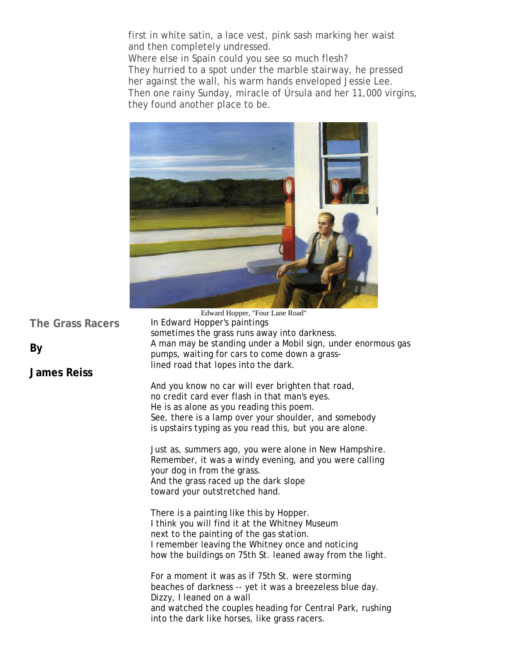first in white satin, a lace vest, pink sash marking her waist and then completely undressed.

Where else in Spain could you see so much flesh? They hurried to a spot under the marble stairway, he pressed her against the wall, his warm hands enveloped Jessie Lee. Then one rainy Sunday, miracle of Úrsula and her 11,000 virgins, they found another place to be.



sometimes the grass runs away into darkness.

In Edward Hopper's paintings

**The Grass Racers**

**By** 

### **James Reiss**

A man may be standing under a Mobil sign, under enormous gas pumps, waiting for cars to come down a grasslined road that lopes into the dark. And you know no car will ever brighten that road, no credit card ever flash in that man's eyes. He is as alone as you reading this poem.

See, there is a lamp over your shoulder, and somebody is upstairs typing as you read this, but you are alone.

Just as, summers ago, you were alone in New Hampshire. Remember, it was a windy evening, and you were calling your dog in from the grass. And the grass raced up the dark slope toward your outstretched hand.

There is a painting like this by Hopper. I think you will find it at the Whitney Museum next to the painting of the gas station. I remember leaving the Whitney once and noticing how the buildings on 75th St. leaned away from the light.

For a moment it was as if 75th St. were storming beaches of darkness -- yet it was a breezeless blue day. Dizzy, I leaned on a wall and watched the couples heading for Central Park, rushing into the dark like horses, like grass racers.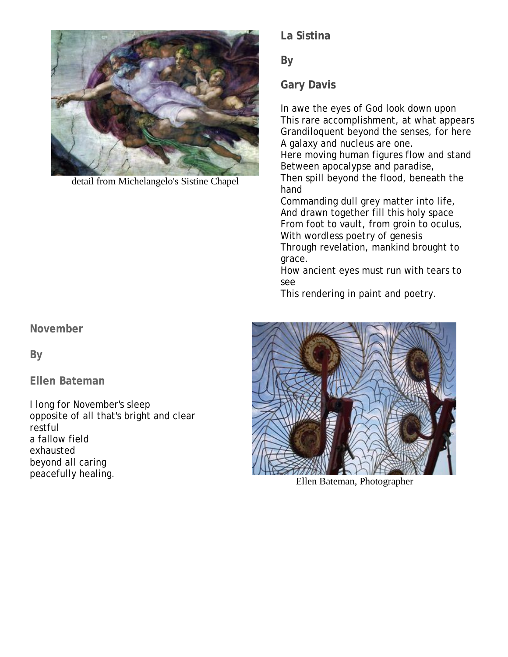

detail from Michelangelo's Sistine Chapel

**La Sistina**

**By**

**Gary Davis**

In awe the eyes of God look down upon This rare accomplishment, at what appears Grandiloquent beyond the senses, for here A galaxy and nucleus are one.

Here moving human figures flow and stand Between apocalypse and paradise,

Then spill beyond the flood, beneath the hand

Commanding dull grey matter into life, And drawn together fill this holy space From foot to vault, from groin to oculus, With wordless poetry of genesis Through revelation, mankind brought to grace.

How ancient eyes must run with tears to see

This rendering in paint and poetry.



Ellen Bateman, Photographer

**November** 

**By** 

**Ellen Bateman**

I long for November's sleep opposite of all that's bright and clear restful a fallow field exhausted beyond all caring peacefully healing.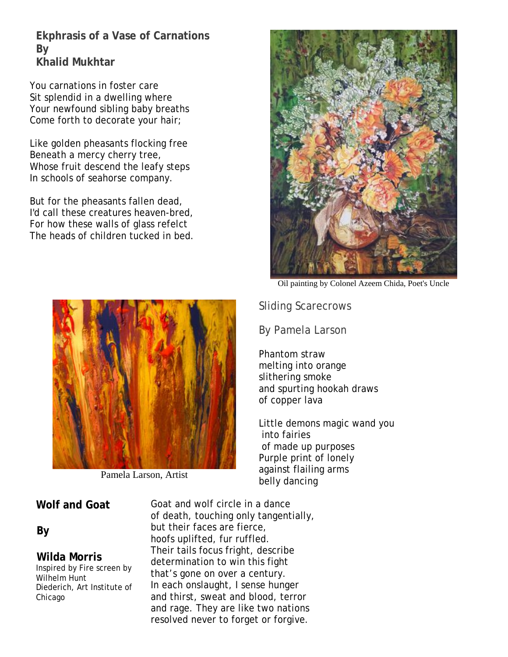**Ekphrasis of a Vase of Carnations By Khalid Mukhtar**

You carnations in foster care Sit splendid in a dwelling where Your newfound sibling baby breaths Come forth to decorate your hair;

Like golden pheasants flocking free Beneath a mercy cherry tree, Whose fruit descend the leafy steps In schools of seahorse company.

But for the pheasants fallen dead, I'd call these creatures heaven-bred, For how these walls of glass refelct The heads of children tucked in bed.



Pamela Larson, Artist

### **Wolf and Goat**

### **By**

### **Wilda Morris**

Inspired by Fire screen by Wilhelm Hunt Diederich, Art Institute of Chicago

Goat and wolf circle in a dance of death, touching only tangentially, but their faces are fierce, hoofs uplifted, fur ruffled. Their tails focus fright, describe determination to win this fight that's gone on over a century. In each onslaught, I sense hunger and thirst, sweat and blood, terror and rage. They are like two nations resolved never to forget or forgive.



Oil painting by Colonel Azeem Chida, Poet's Uncle

Sliding Scarecrows

By Pamela Larson

Phantom straw melting into orange slithering smoke and spurting hookah draws of copper lava

Little demons magic wand you into fairies of made up purposes Purple print of lonely against flailing arms belly dancing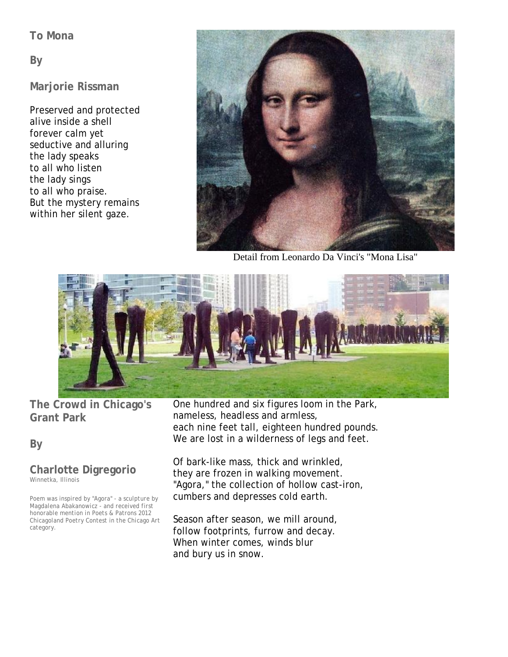### **To Mona**

**By** 

### **Marjorie Rissman**

Preserved and protected alive inside a shell forever calm yet seductive and alluring the lady speaks to all who listen the lady sings to all who praise. But the mystery remains within her silent gaze.



Detail from Leonardo Da Vinci's "Mona Lisa"



**The Crowd in Chicago's Grant Park**

**By** 

#### **Charlotte Digregorio** *Winnetka, Illinois*

*Poem was inspired by "Agora" - a sculpture by Magdalena Abakanowicz - and received first honorable mention in Poets & Patrons 2012 Chicagoland Poetry Contest in the Chicago Art category.*

One hundred and six figures loom in the Park, nameless, headless and armless, each nine feet tall, eighteen hundred pounds. We are lost in a wilderness of legs and feet.

Of bark-like mass, thick and wrinkled, they are frozen in walking movement. "Agora," the collection of hollow cast-iron, cumbers and depresses cold earth.

Season after season, we mill around, follow footprints, furrow and decay. When winter comes, winds blur and bury us in snow.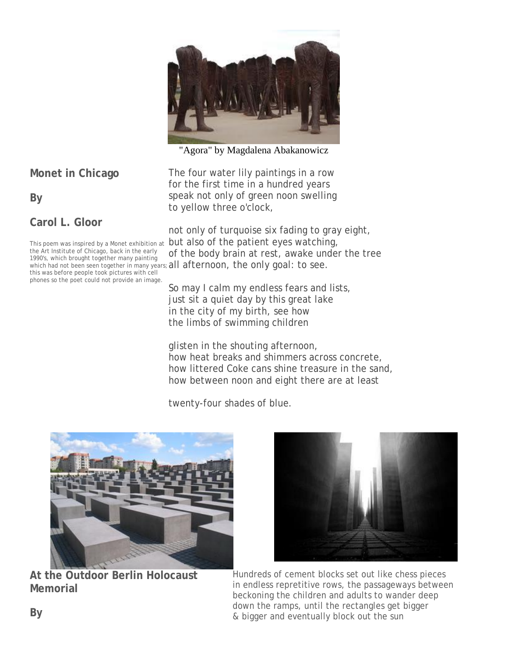

"Agora" by Magdalena Abakanowicz

**Monet in Chicago**

**By**

**Carol L. Gloor**

This poem was inspired by a Monet exhibition at the Art Institute of Chicago, back in the early 1990's, which brought together many painting this was before people took pictures with cell phones so the poet could not provide an image.

The four water lily paintings in a row for the first time in a hundred years speak not only of green noon swelling to yellow three o'clock,

which had not been seen together in many years; all afternoon, the only goal: to see. not only of turquoise six fading to gray eight, but also of the patient eyes watching, of the body brain at rest, awake under the tree

> So may I calm my endless fears and lists, just sit a quiet day by this great lake in the city of my birth, see how the limbs of swimming children

glisten in the shouting afternoon, how heat breaks and shimmers across concrete, how littered Coke cans shine treasure in the sand, how between noon and eight there are at least

twenty-four shades of blue.



**At the Outdoor Berlin Holocaust Memorial**



Hundreds of cement blocks set out like chess pieces in endless repretitive rows, the passageways between beckoning the children and adults to wander deep down the ramps, until the rectangles get bigger & bigger and eventually block out the sun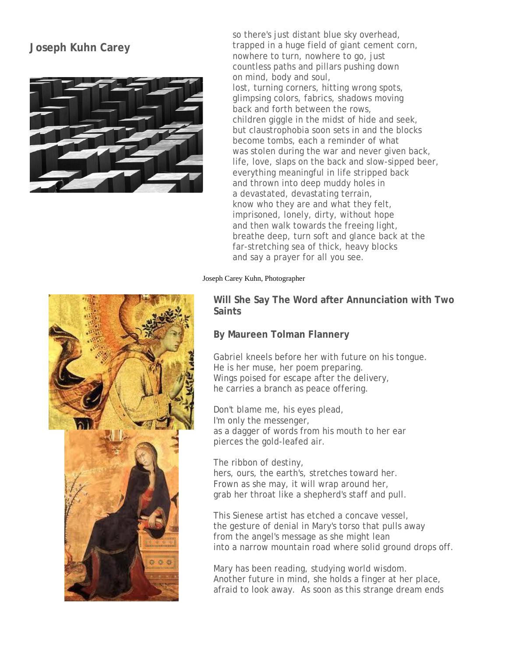# **Joseph Kuhn Carey**



so there's just distant blue sky overhead, trapped in a huge field of giant cement corn, nowhere to turn, nowhere to go, just countless paths and pillars pushing down on mind, body and soul, lost, turning corners, hitting wrong spots, glimpsing colors, fabrics, shadows moving back and forth between the rows, children giggle in the midst of hide and seek, but claustrophobia soon sets in and the blocks become tombs, each a reminder of what was stolen during the war and never given back, life, love, slaps on the back and slow-sipped beer, everything meaningful in life stripped back and thrown into deep muddy holes in a devastated, devastating terrain, know who they are and what they felt, imprisoned, lonely, dirty, without hope and then walk towards the freeing light, breathe deep, turn soft and glance back at the far-stretching sea of thick, heavy blocks and say a prayer for all you see.

#### Joseph Carey Kuhn, Photographer

**Will She Say The Word after Annunciation with Two Saints**

#### **By Maureen Tolman Flannery**

Gabriel kneels before her with future on his tongue. He is her muse, her poem preparing. Wings poised for escape after the delivery, he carries a branch as peace offering.

Don't blame me, his eyes plead, I'm only the messenger, as a dagger of words from his mouth to her ear pierces the gold-leafed air.

The ribbon of destiny, hers, ours, the earth's, stretches toward her. Frown as she may, it will wrap around her, grab her throat like a shepherd's staff and pull.

This Sienese artist has etched a concave vessel, the gesture of denial in Mary's torso that pulls away from the angel's message as she might lean into a narrow mountain road where solid ground drops off.

Mary has been reading, studying world wisdom. Another future in mind, she holds a finger at her place, afraid to look away. As soon as this strange dream ends

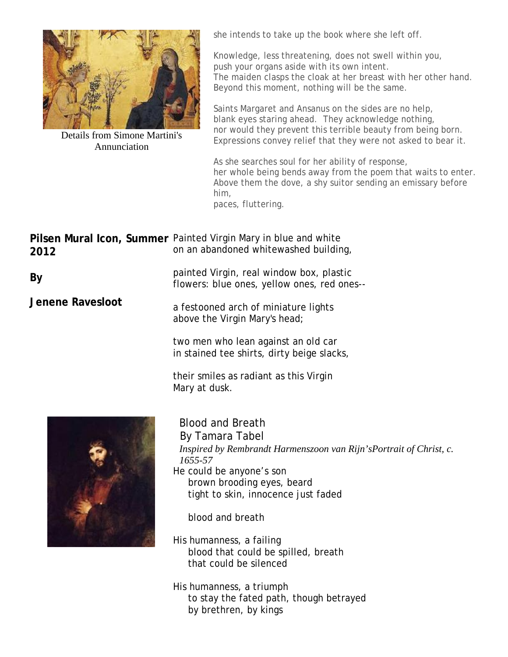

Details from Simone Martini's Annunciation

she intends to take up the book where she left off.

Knowledge, less threatening, does not swell within you, push your organs aside with its own intent. The maiden clasps the cloak at her breast with her other hand. Beyond this moment, nothing will be the same.

Saints Margaret and Ansanus on the sides are no help, blank eyes staring ahead. They acknowledge nothing, nor would they prevent this terrible beauty from being born. Expressions convey relief that they were not asked to bear it.

As she searches soul for her ability of response, her whole being bends away from the poem that waits to enter. Above them the dove, a shy suitor sending an emissary before him, paces, fluttering.

Pilsen Mural Icon, Summer Painted Virgin Mary in blue and white **2012** on an abandoned whitewashed building,

> painted Virgin, real window box, plastic flowers: blue ones, yellow ones, red ones--

a festooned arch of miniature lights above the Virgin Mary's head;

> two men who lean against an old car in stained tee shirts, dirty beige slacks,

their smiles as radiant as this Virgin Mary at dusk.



Blood and Breath By Tamara Tabel *Inspired by Rembrandt Harmenszoon van Rijn'sPortrait of Christ, c. 1655-57* He could be anyone's son brown brooding eyes, beard tight to skin, innocence just faded

blood and breath

His humanness, a failing blood that could be spilled, breath that could be silenced

His humanness, a triumph to stay the fated path, though betrayed by brethren, by kings

**By**

**Jenene Ravesloot**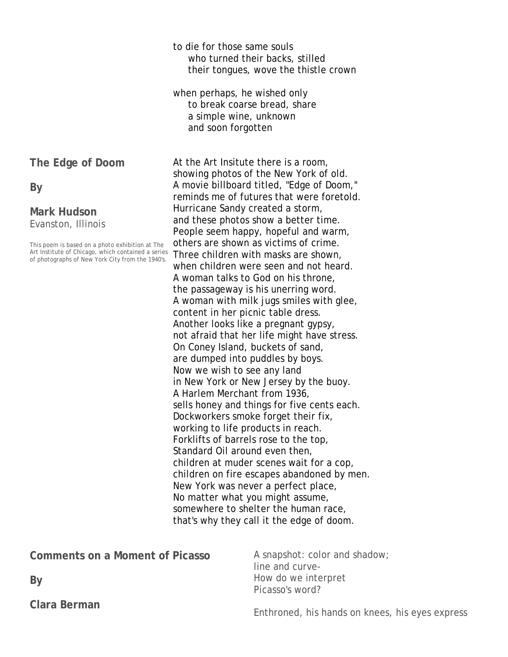to die for those same souls who turned their backs, stilled their tongues, wove the thistle crown

when perhaps, he wished only to break coarse bread, share a simple wine, unknown and soon forgotten

At the Art Insitute there is a room, showing photos of the New York of old. A movie billboard titled, "Edge of Doom," reminds me of futures that were foretold. Hurricane Sandy created a storm, and these photos show a better time. People seem happy, hopeful and warm, others are shown as victims of crime. Three children with masks are shown, when children were seen and not heard. A woman talks to God on his throne, the passageway is his unerring word. A woman with milk jugs smiles with glee, content in her picnic table dress. Another looks like a pregnant gypsy, not afraid that her life might have stress. On Coney Island, buckets of sand, are dumped into puddles by boys. Now we wish to see any land in New York or New Jersey by the buoy. A Harlem Merchant from 1936, sells honey and things for five cents each. Dockworkers smoke forget their fix, working to life products in reach. Forklifts of barrels rose to the top, Standard Oil around even then, children at muder scenes wait for a cop, children on fire escapes abandoned by men. New York was never a perfect place, No matter what you might assume, somewhere to shelter the human race, that's why they call it the edge of doom.

| Comments on a Moment of Picasso | A snapshot: color and shadow;<br>line and curve- |
|---------------------------------|--------------------------------------------------|
| By                              | How do we interpret<br>Picasso's word?           |
| Clara Berman                    |                                                  |

Enthroned, his hands on knees, his eyes express

**The Edge of Doom**

**By**

**Mark Hudson** Evanston, Illinois

This poem is based on a photo exhibition at The Art Institute of Chicago, which contained a series of photographs of New York City from the 1940's.

**Clara Berman**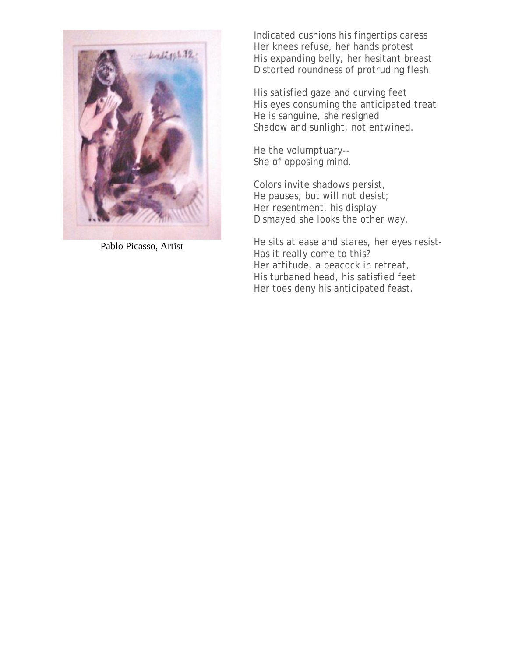

Pablo Picasso, Artist

Indicated cushions his fingertips caress Her knees refuse, her hands protest His expanding belly, her hesitant breast Distorted roundness of protruding flesh.

His satisfied gaze and curving feet His eyes consuming the anticipated treat He is sanguine, she resigned Shadow and sunlight, not entwined.

He *the* volumptuary-- She of opposing mind.

Colors invite shadows persist, He pauses, but will not desist; Her resentment, his display Dismayed she looks the other way.

He sits at ease and stares, her eyes resist-Has it really come to this? Her attitude, a peacock in retreat, His turbaned head, his satisfied feet Her toes deny his anticipated feast.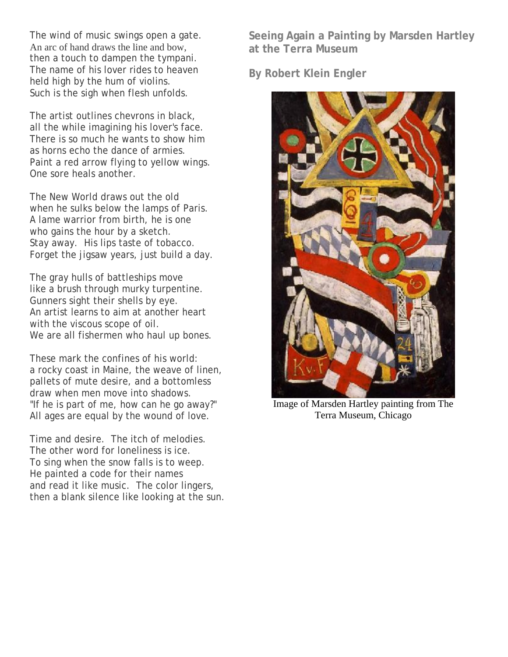The wind of music swings open a gate. An arc of hand draws the line and bow, then a touch to dampen the tympani. The name of his lover rides to heaven held high by the hum of violins. Such is the sigh when flesh unfolds.

The artist outlines chevrons in black, all the while imagining his lover's face. There is so much he wants to show him as horns echo the dance of armies. Paint a red arrow flying to yellow wings. One sore heals another.

The New World draws out the old when he sulks below the lamps of Paris. A lame warrior from birth, he is one who gains the hour by a sketch. Stay away. His lips taste of tobacco. Forget the jigsaw years, just build a day.

The gray hulls of battleships move like a brush through murky turpentine. Gunners sight their shells by eye. An artist learns to aim at another heart with the viscous scope of oil. We are all fishermen who haul up bones.

These mark the confines of his world: a rocky coast in Maine, the weave of linen, pallets of mute desire, and a bottomless draw when men move into shadows. "If he is part of me, how can he go away?" All ages are equal by the wound of love.

Time and desire. The itch of melodies. The other word for loneliness is ice. To sing when the snow falls is to weep. He painted a code for their names and read it like music. The color lingers, then a blank silence like looking at the sun. **Seeing Again a Painting by Marsden Hartley at the Terra Museum**

**By Robert Klein Engler**



Image of Marsden Hartley painting from The Terra Museum, Chicago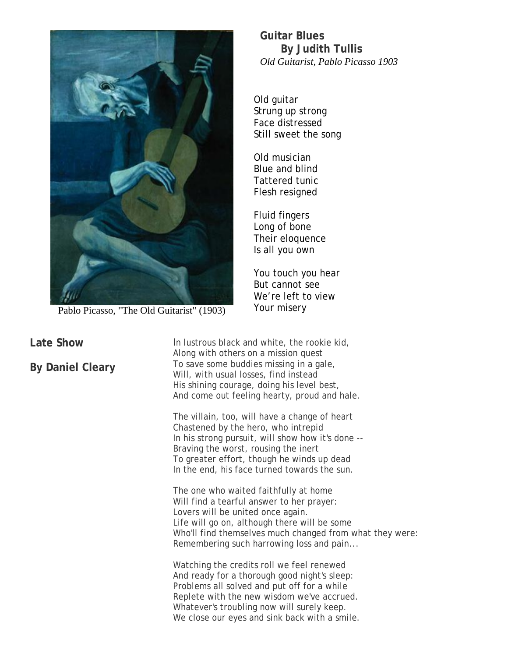

Pablo Picasso, "The Old Guitarist" (1903)

**Late Show**

**By Daniel Cleary**

**Guitar Blues By Judith Tullis** *Old Guitarist, Pablo Picasso 1903*

Old guitar Strung up strong Face distressed Still sweet the song

Old musician Blue and blind Tattered tunic Flesh resigned

Fluid fingers Long of bone Their eloquence Is all you own

You touch you hear But cannot see We're left to view Your misery

In lustrous black and white, the rookie kid, Along with others on a mission quest To save some buddies missing in a gale, Will, with usual losses, find instead His shining courage, doing his level best, And come out feeling hearty, proud and hale.

The villain, too, will have a change of heart Chastened by the hero, who intrepid In his strong pursuit, will show how it's done -- Braving the worst, rousing the inert To greater effort, though he winds up dead In the end, his face turned towards the sun.

The one who waited faithfully at home Will find a tearful answer to her prayer: Lovers will be united once again. Life will go on, although there will be some Who'll find themselves much changed from what they were: Remembering such harrowing loss and pain...

Watching the credits roll we feel renewed And ready for a thorough good night's sleep: Problems all solved and put off for a while Replete with the new wisdom we've accrued. Whatever's troubling now will surely keep. We close our eyes and sink back with a smile.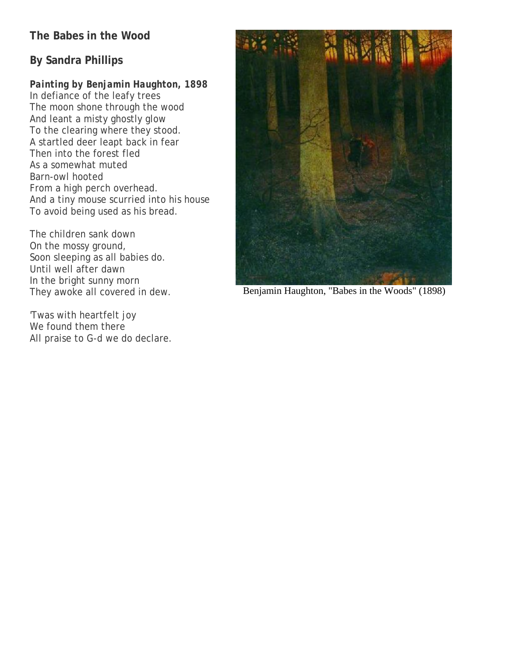# **The Babes in the Wood**

# **By Sandra Phillips**

# *Painting by Benjamin Haughton, 1898*

In defiance of the leafy trees The moon shone through the wood And leant a misty ghostly glow To the clearing where they stood. A startled deer leapt back in fear Then into the forest fled As a somewhat muted Barn-owl hooted From a high perch overhead. And a tiny mouse scurried into his house To avoid being used as his bread.

The children sank down On the mossy ground, Soon sleeping as all babies do. Until well after dawn In the bright sunny morn They awoke all covered in dew.

'Twas with heartfelt joy We found them there All praise to G-d we do declare.



Benjamin Haughton, "Babes in the Woods" (1898)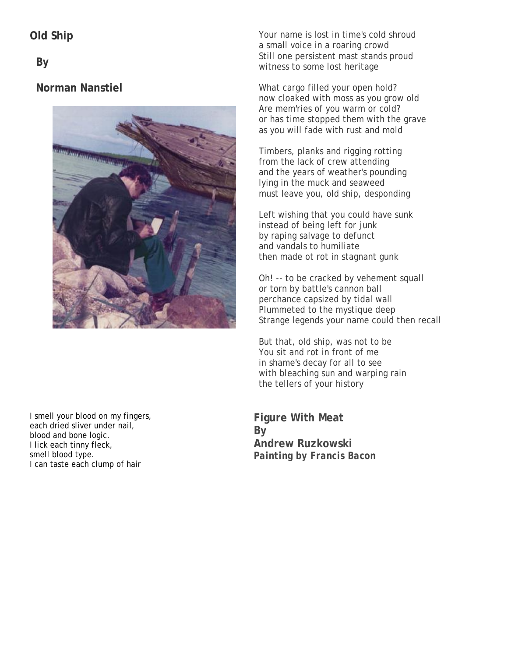**Old Ship**

**By** 

# **Norman Nanstiel**



I smell your blood on my fingers, each dried sliver under nail, blood and bone logic. I lick each tinny fleck, smell blood type. I can taste each clump of hair

Your name is lost in time's cold shroud a small voice in a roaring crowd Still one persistent mast stands proud witness to some lost heritage

What cargo filled your open hold? now cloaked with moss as you grow old Are mem'ries of you warm or cold? or has time stopped them with the grave as you will fade with rust and mold

Timbers, planks and rigging rotting from the lack of crew attending and the years of weather's pounding lying in the muck and seaweed must leave you, old ship, desponding

Left wishing that you could have sunk instead of being left for junk by raping salvage to defunct and vandals to humiliate then made ot rot in stagnant gunk

Oh! -- to be cracked by vehement squall or torn by battle's cannon ball perchance capsized by tidal wall Plummeted to the mystique deep Strange legends your name could then recall

But that, old ship, was not to be You sit and rot in front of me in shame's decay for all to see with bleaching sun and warping rain the tellers of your history

**Figure With Meat By Andrew Ruzkowski** *Painting by Francis Bacon*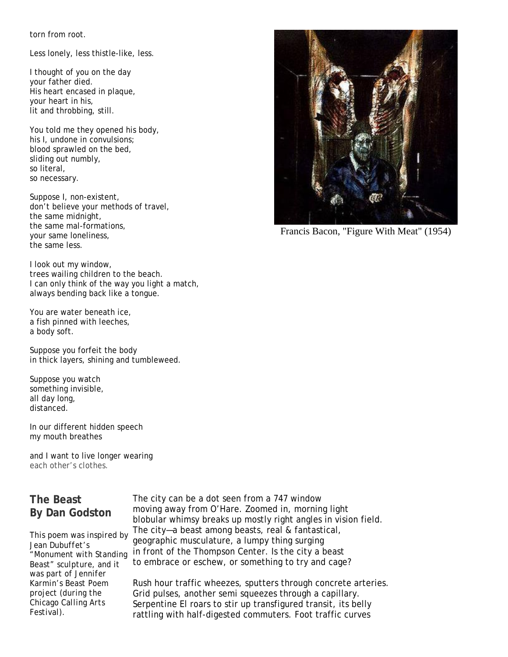torn from root.

Less lonely, less thistle-like, less.

I thought of you on the day your father died. His heart encased in plaque, your heart in his, lit and throbbing, still.

You told me they opened his body, his I, undone in convulsions; blood sprawled on the bed, sliding out numbly, so literal, so necessary.

Suppose I, non-existent, don't believe your methods of travel, the same midnight, the same mal-formations, your same loneliness, the same less.

I look out my window, trees wailing children to the beach. I can only think of the way you light a match, always bending back like a tongue.

You are water beneath ice, a fish pinned with leeches, a body soft.

Suppose you forfeit the body in thick layers, shining and tumbleweed.

Suppose you watch something invisible, all day long, distanced.

In our different hidden speech my mouth breathes

and I want to live longer wearing each other's clothes.

# **The Beast By Dan Godston**

*This poem was inspired by Jean Dubuffet's "Monument with Standing Beast" sculpture, and it was part of Jennifer Karmin's Beast Poem project (during the Chicago Calling Arts Festival).*

The city can be a dot seen from a 747 window moving away from O'Hare. Zoomed in, morning light blobular whimsy breaks up mostly right angles in vision field. The city—a beast among beasts, real & fantastical, geographic musculature, a lumpy thing surging in front of the Thompson Center. Is the city a beast to embrace or eschew, or something to try and cage?

Rush hour traffic wheezes, sputters through concrete arteries. Grid pulses, another semi squeezes through a capillary. Serpentine El roars to stir up transfigured transit, its belly rattling with half-digested commuters. Foot traffic curves

Francis Bacon, "Figure With Meat" (1954)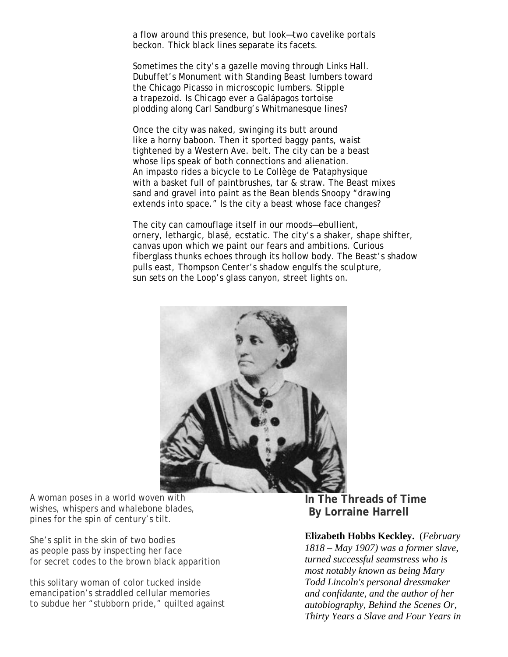a flow around this presence, but look—two cavelike portals beckon. Thick black lines separate its facets.

Sometimes the city's a gazelle moving through Links Hall. Dubuffet's *Monument with Standing Beast* lumbers toward the Chicago Picasso in microscopic lumbers. Stipple a trapezoid. Is Chicago ever a Galápagos tortoise plodding along Carl Sandburg's Whitmanesque lines?

Once the city was naked, swinging its butt around like a horny baboon. Then it sported baggy pants, waist tightened by a Western Ave. belt. The city can be a beast whose lips speak of both connections and alienation. An impasto rides a bicycle to Le Collège de 'Pataphysique with a basket full of paintbrushes, tar & straw. The Beast mixes sand and gravel into paint as the Bean blends Snoopy "drawing extends into space." Is the city a beast whose face changes?

The city can camouflage itself in our moods—ebullient, ornery, lethargic, blasé, ecstatic. The city's a shaker, shape shifter, canvas upon which we paint our fears and ambitions. Curious fiberglass thunks echoes through its hollow body. The Beast's shadow pulls east, Thompson Center's shadow engulfs the sculpture, sun sets on the Loop's glass canyon, street lights on.



A woman poses in a world woven with wishes, whispers and whalebone blades, pines for the spin of century's tilt.

She's split in the skin of two bodies as people pass by inspecting her face for secret codes to the brown black apparition

this solitary woman of color tucked inside emancipation's straddled cellular memories to subdue her "stubborn pride," quilted against **In The Threads of Time By Lorraine Harrell**

#### **Elizabeth Hobbs Keckley.** (*February*

*1818 – May 1907) was a former slave, turned successful seamstress who is most notably known as being Mary Todd Lincoln's personal dressmaker and confidante, and the author of her autobiography, Behind the Scenes Or, Thirty Years a Slave and Four Years in*